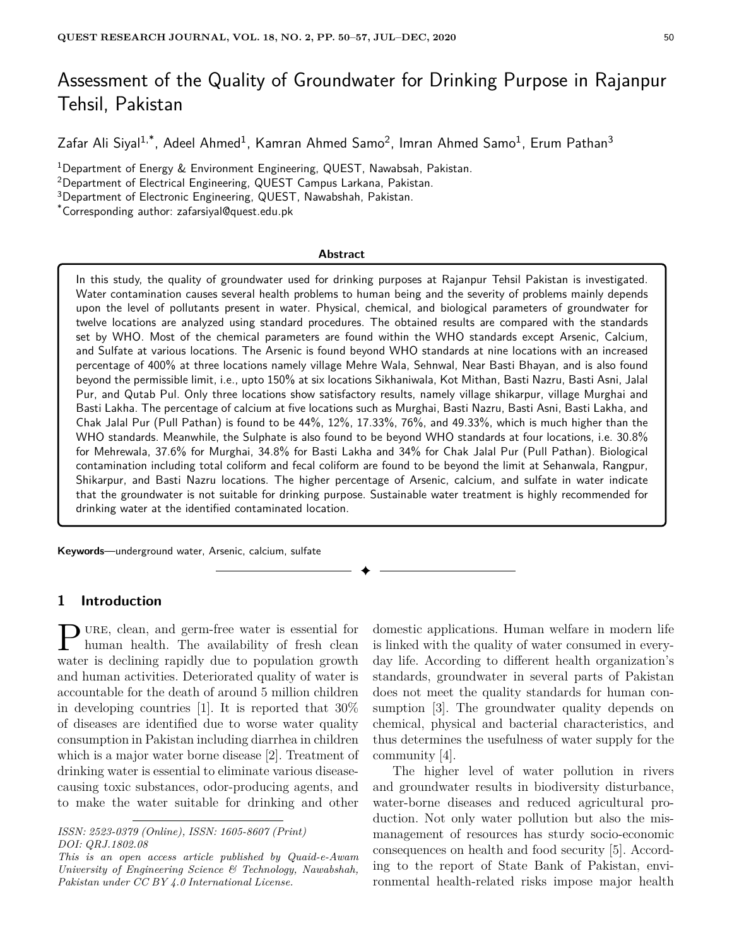# Assessment of the Quality of Groundwater for Drinking Purpose in Rajanpur Tehsil, Pakistan

Zafar Ali Siyal<sup>1,\*</sup>, Adeel Ahmed<sup>1</sup>, Kamran Ahmed Samo<sup>2</sup>, Imran Ahmed Samo<sup>1</sup>, Erum Pathan<sup>3</sup>

<sup>1</sup>Department of Energy & Environment Engineering, QUEST, Nawabsah, Pakistan.

<sup>2</sup>Department of Electrical Engineering, QUEST Campus Larkana, Pakistan.

<sup>3</sup>Department of Electronic Engineering, QUEST, Nawabshah, Pakistan.

\*Corresponding author: zafarsiyal@quest.edu.pk

#### **Abstract**

In this study, the quality of groundwater used for drinking purposes at Rajanpur Tehsil Pakistan is investigated. Water contamination causes several health problems to human being and the severity of problems mainly depends upon the level of pollutants present in water. Physical, chemical, and biological parameters of groundwater for twelve locations are analyzed using standard procedures. The obtained results are compared with the standards set by WHO. Most of the chemical parameters are found within the WHO standards except Arsenic, Calcium, and Sulfate at various locations. The Arsenic is found beyond WHO standards at nine locations with an increased percentage of 400% at three locations namely village Mehre Wala, Sehnwal, Near Basti Bhayan, and is also found beyond the permissible limit, i.e., upto 150% at six locations Sikhaniwala, Kot Mithan, Basti Nazru, Basti Asni, Jalal Pur, and Qutab Pul. Only three locations show satisfactory results, namely village shikarpur, village Murghai and Basti Lakha. The percentage of calcium at five locations such as Murghai, Basti Nazru, Basti Asni, Basti Lakha, and Chak Jalal Pur (Pull Pathan) is found to be 44%, 12%, 17.33%, 76%, and 49.33%, which is much higher than the WHO standards. Meanwhile, the Sulphate is also found to be beyond WHO standards at four locations, i.e. 30.8% for Mehrewala, 37.6% for Murghai, 34.8% for Basti Lakha and 34% for Chak Jalal Pur (Pull Pathan). Biological contamination including total coliform and fecal coliform are found to be beyond the limit at Sehanwala, Rangpur, Shikarpur, and Basti Nazru locations. The higher percentage of Arsenic, calcium, and sulfate in water indicate that the groundwater is not suitable for drinking purpose. Sustainable water treatment is highly recommended for drinking water at the identified contaminated location.

✦

**Keywords**—underground water, Arsenic, calcium, sulfate

## **1 Introduction**

**P** URE, clean, and germ-free water is essential for human health. The availability of fresh clean human health. The availability of fresh clean water is declining rapidly due to population growth and human activities. Deteriorated quality of water is accountable for the death of around 5 million children in developing countries [1]. It is reported that 30% of diseases are identified due to worse water quality consumption in Pakistan including diarrhea in children which is a major water borne disease [2]. Treatment of drinking water is essential to eliminate various diseasecausing toxic substances, odor-producing agents, and to make the water suitable for drinking and other

domestic applications. Human welfare in modern life is linked with the quality of water consumed in everyday life. According to different health organization's standards, groundwater in several parts of Pakistan does not meet the quality standards for human consumption [3]. The groundwater quality depends on chemical, physical and bacterial characteristics, and thus determines the usefulness of water supply for the community [4].

The higher level of water pollution in rivers and groundwater results in biodiversity disturbance, water-borne diseases and reduced agricultural production. Not only water pollution but also the mismanagement of resources has sturdy socio-economic consequences on health and food security [5]. According to the report of State Bank of Pakistan, environmental health-related risks impose major health

*ISSN: 2523-0379 (Online), ISSN: 1605-8607 (Print) DOI: QRJ.1802.08*

*This is an open access article published by Quaid-e-Awam University of Engineering Science & Technology, Nawabshah, Pakistan under CC BY 4.0 International License.*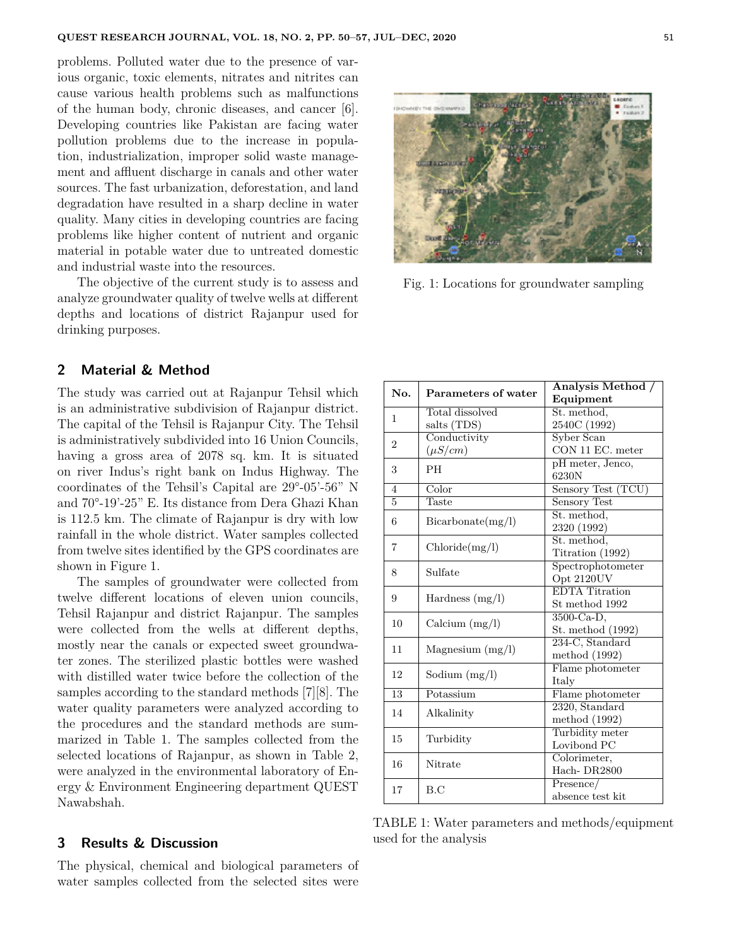problems. Polluted water due to the presence of various organic, toxic elements, nitrates and nitrites can cause various health problems such as malfunctions of the human body, chronic diseases, and cancer [6]. Developing countries like Pakistan are facing water pollution problems due to the increase in population, industrialization, improper solid waste management and affluent discharge in canals and other water sources. The fast urbanization, deforestation, and land degradation have resulted in a sharp decline in water quality. Many cities in developing countries are facing problems like higher content of nutrient and organic material in potable water due to untreated domestic and industrial waste into the resources.

The objective of the current study is to assess and analyze groundwater quality of twelve wells at different depths and locations of district Rajanpur used for drinking purposes.

### **2 Material & Method**

The study was carried out at Rajanpur Tehsil which is an administrative subdivision of Rajanpur district. The capital of the Tehsil is Rajanpur City. The Tehsil is administratively subdivided into 16 Union Councils, having a gross area of 2078 sq. km. It is situated on river Indus's right bank on Indus Highway. The coordinates of the Tehsil's Capital are 29°-05'-56" N and 70°-19'-25" E. Its distance from Dera Ghazi Khan is 112.5 km. The climate of Rajanpur is dry with low rainfall in the whole district. Water samples collected from twelve sites identified by the GPS coordinates are shown in Figure 1.

The samples of groundwater were collected from twelve different locations of eleven union councils, Tehsil Rajanpur and district Rajanpur. The samples were collected from the wells at different depths, mostly near the canals or expected sweet groundwater zones. The sterilized plastic bottles were washed with distilled water twice before the collection of the samples according to the standard methods [7][8]. The water quality parameters were analyzed according to the procedures and the standard methods are summarized in Table 1. The samples collected from the selected locations of Rajanpur, as shown in Table 2, were analyzed in the environmental laboratory of Energy & Environment Engineering department QUEST Nawabshah.

#### **3 Results & Discussion**

The physical, chemical and biological parameters of water samples collected from the selected sites were



Fig. 1: Locations for groundwater sampling

| No.             | Parameters of water | Analysis Method /     |  |  |
|-----------------|---------------------|-----------------------|--|--|
|                 |                     | Equipment             |  |  |
| 1               | Total dissolved     | St. method,           |  |  |
|                 | salts (TDS)         | 2540C (1992)          |  |  |
| $\overline{2}$  | Conductivity        | Syber Scan            |  |  |
|                 | $(\mu S/cm)$        | CON 11 EC. meter      |  |  |
| 3               | PH                  | pH meter, Jenco,      |  |  |
|                 |                     | 6230N                 |  |  |
| $\overline{4}$  | Color               | Sensory Test (TCU)    |  |  |
| $\overline{5}$  | Taste               | <b>Sensory Test</b>   |  |  |
| 6               | Bicarbonate(mg/l)   | St. method,           |  |  |
|                 |                     | 2320 (1992)           |  |  |
| 7               | Chloride(mg/l)      | St. method,           |  |  |
|                 |                     | Titration (1992)      |  |  |
| 8               | Sulfate             | Spectrophotometer     |  |  |
|                 |                     | Opt 2120UV            |  |  |
| 9               | Hardness $(mg/l)$   | <b>EDTA</b> Titration |  |  |
|                 |                     | St method 1992        |  |  |
| 10              | Calcium $(mg/l)$    | $3500$ -Ca-D,         |  |  |
|                 |                     | St. method (1992)     |  |  |
| 11              | Magnesium $(mg/l)$  | 234-C, Standard       |  |  |
|                 |                     | method (1992)         |  |  |
| 12              | Sodium $(mg/l)$     | Flame photometer      |  |  |
|                 |                     | Italy                 |  |  |
| $\overline{13}$ | Potassium           | Flame photometer      |  |  |
| 14              | Alkalinity          | 2320, Standard        |  |  |
|                 |                     | method $(1992)$       |  |  |
| 15              | Turbidity           | Turbidity meter       |  |  |
|                 |                     | Lovibond PC           |  |  |
| 16              | Nitrate             | Colorimeter,          |  |  |
|                 |                     | Hach-DR2800           |  |  |
| 17              | B.C                 | Presence/             |  |  |
|                 |                     | absence test kit      |  |  |

TABLE 1: Water parameters and methods/equipment used for the analysis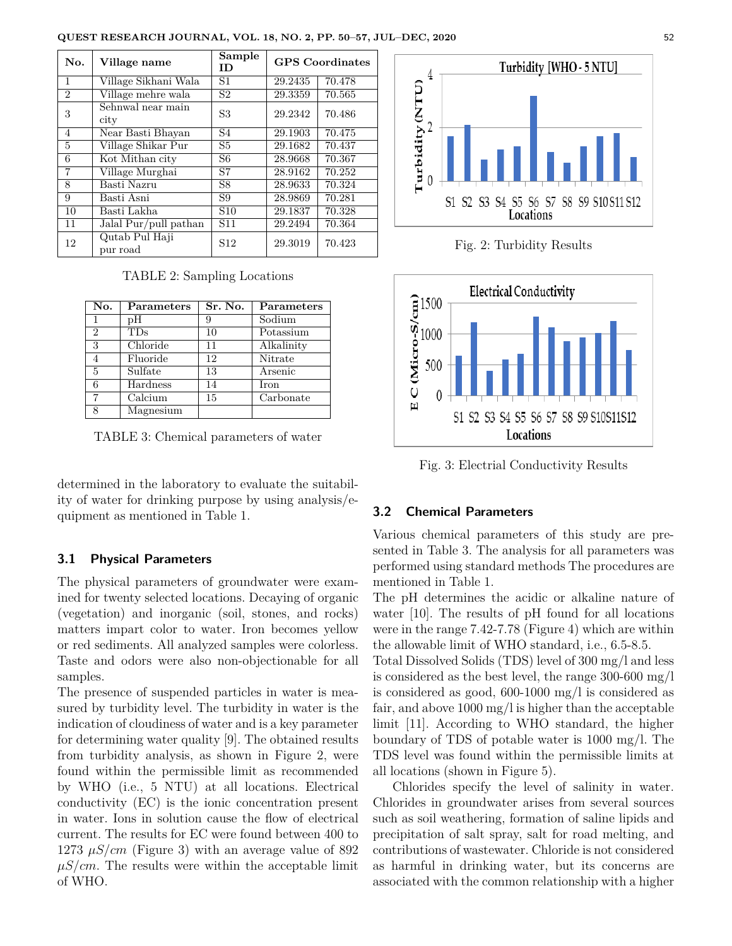| <b>QUEST RESEARCH JOURNAL. VOL. 18. NO. 2. PP. 50–57. JUL–DEC. 2020</b> | 52 |
|-------------------------------------------------------------------------|----|
|-------------------------------------------------------------------------|----|

| No.            | Village name               | Sample<br>ID    |         | <b>GPS</b> Coordinates |
|----------------|----------------------------|-----------------|---------|------------------------|
| 1              | Village Sikhani Wala       | S1              | 29.2435 | 70.478                 |
| 2              | Village mehre wala         | S <sub>2</sub>  | 29.3359 | 70.565                 |
| 3              | Sehnwal near main<br>city  | S <sub>3</sub>  | 29.2342 | 70.486                 |
| $\overline{4}$ | Near Basti Bhayan          | S4              | 29.1903 | 70.475                 |
| 5              | Village Shikar Pur         | S5              | 29.1682 | 70.437                 |
| 6              | Kot Mithan city            | S6              | 28.9668 | 70.367                 |
| $\overline{7}$ | Village Murghai            | S7              | 28.9162 | 70.252                 |
| 8              | Basti Nazru                | S8              | 28.9633 | 70.324                 |
| 9              | Basti Asni                 | S9              | 28.9869 | 70.281                 |
| 10             | Basti Lakha                | S <sub>10</sub> | 29.1837 | 70.328                 |
| 11             | Jalal Pur/pull pathan      | S <sub>11</sub> | 29.2494 | 70.364                 |
| 12             | Qutab Pul Haji<br>pur road | S <sub>12</sub> | 29.3019 | 70.423                 |

TABLE 2: Sampling Locations

| No.            | Parameters | Sr. No. | Parameters |
|----------------|------------|---------|------------|
|                | pН         | 9       | Sodium     |
| $\mathcal{D}$  | TDs        | 10      | Potassium  |
| 3              | Chloride   | 11      | Alkalinity |
|                | Fluoride   | 12      | Nitrate    |
| $\overline{5}$ | Sulfate    | 13      | Arsenic    |
| 6              | Hardness   | 14      | Iron       |
| 7              | Calcium    | 15      | Carbonate  |
| 8              | Magnesium  |         |            |

TABLE 3: Chemical parameters of water

determined in the laboratory to evaluate the suitability of water for drinking purpose by using analysis/equipment as mentioned in Table 1.

### **3.1 Physical Parameters**

The physical parameters of groundwater were examined for twenty selected locations. Decaying of organic (vegetation) and inorganic (soil, stones, and rocks) matters impart color to water. Iron becomes yellow or red sediments. All analyzed samples were colorless. Taste and odors were also non-objectionable for all samples.

The presence of suspended particles in water is measured by turbidity level. The turbidity in water is the indication of cloudiness of water and is a key parameter for determining water quality [9]. The obtained results from turbidity analysis, as shown in Figure 2, were found within the permissible limit as recommended by WHO (i.e., 5 NTU) at all locations. Electrical conductivity (EC) is the ionic concentration present in water. Ions in solution cause the flow of electrical current. The results for EC were found between 400 to 1273  $\mu$ S/cm (Figure 3) with an average value of 892  $\mu S/cm$ . The results were within the acceptable limit of WHO.



Fig. 2: Turbidity Results



Fig. 3: Electrial Conductivity Results

## **3.2 Chemical Parameters**

Various chemical parameters of this study are presented in Table 3. The analysis for all parameters was performed using standard methods The procedures are mentioned in Table 1.

The pH determines the acidic or alkaline nature of water [10]. The results of pH found for all locations were in the range 7.42-7.78 (Figure 4) which are within the allowable limit of WHO standard, i.e., 6.5-8.5.

Total Dissolved Solids (TDS) level of 300 mg/l and less is considered as the best level, the range 300-600 mg/l is considered as good, 600-1000 mg/l is considered as fair, and above 1000 mg/l is higher than the acceptable limit [11]. According to WHO standard, the higher boundary of TDS of potable water is 1000 mg/l. The TDS level was found within the permissible limits at all locations (shown in Figure 5).

Chlorides specify the level of salinity in water. Chlorides in groundwater arises from several sources such as soil weathering, formation of saline lipids and precipitation of salt spray, salt for road melting, and contributions of wastewater. Chloride is not considered as harmful in drinking water, but its concerns are associated with the common relationship with a higher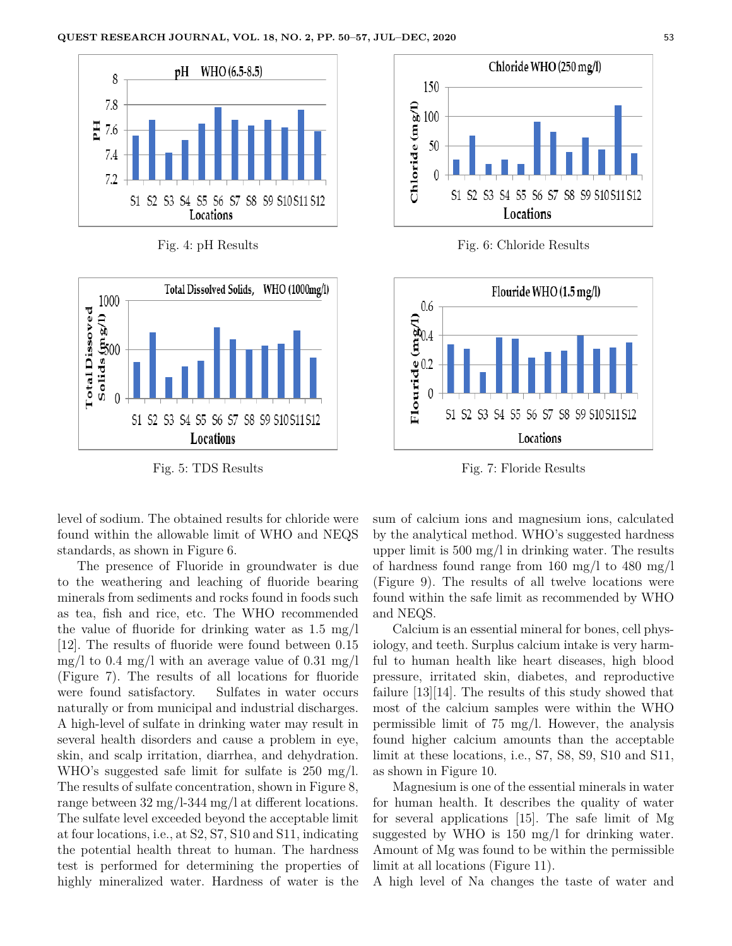

Fig. 4: pH Results



Fig. 5: TDS Results



Fig. 6: Chloride Results



Fig. 7: Floride Results

level of sodium. The obtained results for chloride were found within the allowable limit of WHO and NEQS standards, as shown in Figure 6.

The presence of Fluoride in groundwater is due to the weathering and leaching of fluoride bearing minerals from sediments and rocks found in foods such as tea, fish and rice, etc. The WHO recommended the value of fluoride for drinking water as 1.5 mg/l [12]. The results of fluoride were found between 0.15 mg/l to 0.4 mg/l with an average value of 0.31 mg/l (Figure 7). The results of all locations for fluoride were found satisfactory. Sulfates in water occurs naturally or from municipal and industrial discharges. A high-level of sulfate in drinking water may result in several health disorders and cause a problem in eye, skin, and scalp irritation, diarrhea, and dehydration. WHO's suggested safe limit for sulfate is 250 mg/l. The results of sulfate concentration, shown in Figure 8, range between 32 mg/l-344 mg/l at different locations. The sulfate level exceeded beyond the acceptable limit at four locations, i.e., at S2, S7, S10 and S11, indicating the potential health threat to human. The hardness test is performed for determining the properties of highly mineralized water. Hardness of water is the sum of calcium ions and magnesium ions, calculated by the analytical method. WHO's suggested hardness upper limit is 500 mg/l in drinking water. The results of hardness found range from 160 mg/l to 480 mg/l (Figure 9). The results of all twelve locations were found within the safe limit as recommended by WHO and NEQS.

Calcium is an essential mineral for bones, cell physiology, and teeth. Surplus calcium intake is very harmful to human health like heart diseases, high blood pressure, irritated skin, diabetes, and reproductive failure [13][14]. The results of this study showed that most of the calcium samples were within the WHO permissible limit of 75 mg/l. However, the analysis found higher calcium amounts than the acceptable limit at these locations, i.e., S7, S8, S9, S10 and S11, as shown in Figure 10.

Magnesium is one of the essential minerals in water for human health. It describes the quality of water for several applications [15]. The safe limit of Mg suggested by WHO is 150 mg/l for drinking water. Amount of Mg was found to be within the permissible limit at all locations (Figure 11).

A high level of Na changes the taste of water and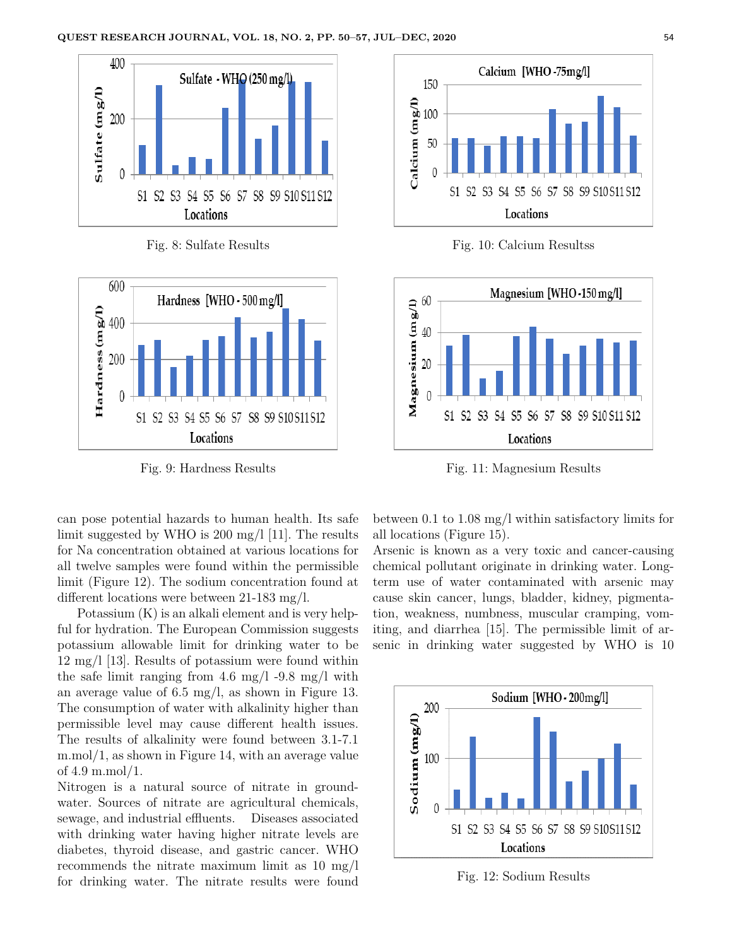

Fig. 8: Sulfate Results



Fig. 9: Hardness Results

can pose potential hazards to human health. Its safe limit suggested by WHO is 200 mg/l [11]. The results for Na concentration obtained at various locations for all twelve samples were found within the permissible limit (Figure 12). The sodium concentration found at different locations were between 21-183 mg/l.

Potassium (K) is an alkali element and is very helpful for hydration. The European Commission suggests potassium allowable limit for drinking water to be 12 mg/l [13]. Results of potassium were found within the safe limit ranging from 4.6 mg/l -9.8 mg/l with an average value of 6.5 mg/l, as shown in Figure 13. The consumption of water with alkalinity higher than permissible level may cause different health issues. The results of alkalinity were found between 3.1-7.1 m.mol/1, as shown in Figure 14, with an average value of 4.9 m.mol/1.

Nitrogen is a natural source of nitrate in groundwater. Sources of nitrate are agricultural chemicals, sewage, and industrial effluents. Diseases associated with drinking water having higher nitrate levels are diabetes, thyroid disease, and gastric cancer. WHO recommends the nitrate maximum limit as 10 mg/l for drinking water. The nitrate results were found



Fig. 10: Calcium Resultss



Fig. 11: Magnesium Results

between 0.1 to 1.08 mg/l within satisfactory limits for all locations (Figure 15).

Arsenic is known as a very toxic and cancer-causing chemical pollutant originate in drinking water. Longterm use of water contaminated with arsenic may cause skin cancer, lungs, bladder, kidney, pigmentation, weakness, numbness, muscular cramping, vomiting, and diarrhea [15]. The permissible limit of arsenic in drinking water suggested by WHO is 10



Fig. 12: Sodium Results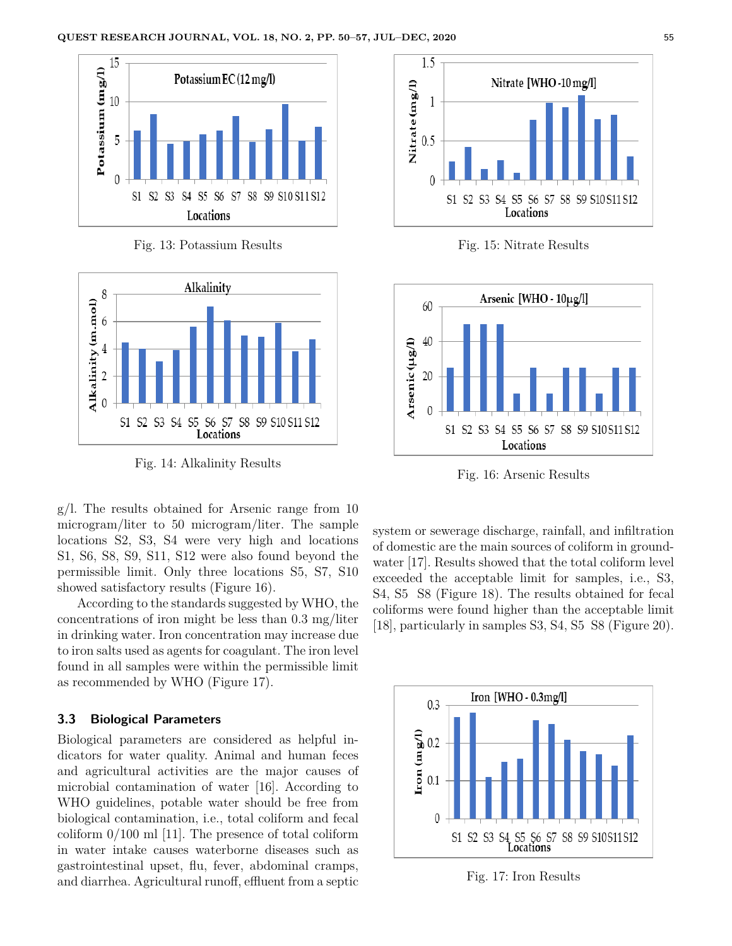

Fig. 13: Potassium Results



Fig. 14: Alkalinity Results

g/l. The results obtained for Arsenic range from 10 microgram/liter to 50 microgram/liter. The sample locations S2, S3, S4 were very high and locations S1, S6, S8, S9, S11, S12 were also found beyond the permissible limit. Only three locations S5, S7, S10 showed satisfactory results (Figure 16).

According to the standards suggested by WHO, the concentrations of iron might be less than 0.3 mg/liter in drinking water. Iron concentration may increase due to iron salts used as agents for coagulant. The iron level found in all samples were within the permissible limit as recommended by WHO (Figure 17).

### **3.3 Biological Parameters**

Biological parameters are considered as helpful indicators for water quality. Animal and human feces and agricultural activities are the major causes of microbial contamination of water [16]. According to WHO guidelines, potable water should be free from biological contamination, i.e., total coliform and fecal coliform 0/100 ml [11]. The presence of total coliform in water intake causes waterborne diseases such as gastrointestinal upset, flu, fever, abdominal cramps, and diarrhea. Agricultural runoff, effluent from a septic



Fig. 15: Nitrate Results



Fig. 16: Arsenic Results

system or sewerage discharge, rainfall, and infiltration of domestic are the main sources of coliform in groundwater [17]. Results showed that the total coliform level exceeded the acceptable limit for samples, i.e., S3, S4, S5 S8 (Figure 18). The results obtained for fecal coliforms were found higher than the acceptable limit [18], particularly in samples S3, S4, S5 S8 (Figure 20).



Fig. 17: Iron Results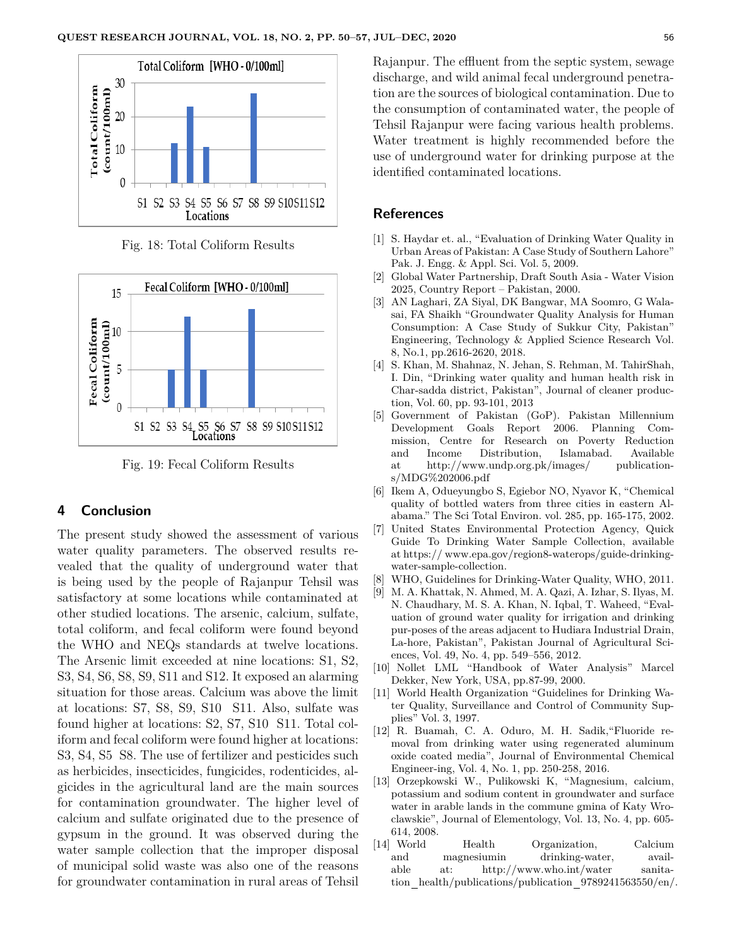

Fig. 18: Total Coliform Results



Fig. 19: Fecal Coliform Results

#### **4 Conclusion**

The present study showed the assessment of various water quality parameters. The observed results revealed that the quality of underground water that is being used by the people of Rajanpur Tehsil was satisfactory at some locations while contaminated at other studied locations. The arsenic, calcium, sulfate, total coliform, and fecal coliform were found beyond the WHO and NEQs standards at twelve locations. The Arsenic limit exceeded at nine locations: S1, S2, S3, S4, S6, S8, S9, S11 and S12. It exposed an alarming situation for those areas. Calcium was above the limit at locations: S7, S8, S9, S10 S11. Also, sulfate was found higher at locations: S2, S7, S10 S11. Total coliform and fecal coliform were found higher at locations: S3, S4, S5 S8. The use of fertilizer and pesticides such as herbicides, insecticides, fungicides, rodenticides, algicides in the agricultural land are the main sources for contamination groundwater. The higher level of calcium and sulfate originated due to the presence of gypsum in the ground. It was observed during the water sample collection that the improper disposal of municipal solid waste was also one of the reasons for groundwater contamination in rural areas of Tehsil Rajanpur. The effluent from the septic system, sewage discharge, and wild animal fecal underground penetration are the sources of biological contamination. Due to the consumption of contaminated water, the people of Tehsil Rajanpur were facing various health problems. Water treatment is highly recommended before the use of underground water for drinking purpose at the identified contaminated locations.

#### **References**

- [1] S. Haydar et. al., "Evaluation of Drinking Water Quality in Urban Areas of Pakistan: A Case Study of Southern Lahore" Pak. J. Engg. & Appl. Sci. Vol. 5, 2009.
- [2] Global Water Partnership, Draft South Asia Water Vision 2025, Country Report – Pakistan, 2000.
- [3] AN Laghari, ZA Siyal, DK Bangwar, MA Soomro, G Walasai, FA Shaikh "Groundwater Quality Analysis for Human Consumption: A Case Study of Sukkur City, Pakistan" Engineering, Technology & Applied Science Research Vol. 8, No.1, pp.2616-2620, 2018.
- [4] S. Khan, M. Shahnaz, N. Jehan, S. Rehman, M. TahirShah, I. Din, "Drinking water quality and human health risk in Char-sadda district, Pakistan", Journal of cleaner production, Vol. 60, pp. 93-101, 2013
- [5] Government of Pakistan (GoP). Pakistan Millennium Development Goals Report 2006. Planning Commission, Centre for Research on Poverty Reduction and Income Distribution, Islamabad. Available at http://www.undp.org.pk/images/ publications/MDG%202006.pdf
- [6] Ikem A, Odueyungbo S, Egiebor NO, Nyavor K, "Chemical quality of bottled waters from three cities in eastern Alabama." The Sci Total Environ. vol. 285, pp. 165-175, 2002.
- [7] United States Environmental Protection Agency, Quick Guide To Drinking Water Sample Collection, available at https:// www.epa.gov/region8-waterops/guide-drinkingwater-sample-collection.
- [8] WHO, Guidelines for Drinking-Water Quality, WHO, 2011.
- [9] M. A. Khattak, N. Ahmed, M. A. Qazi, A. Izhar, S. Ilyas, M. N. Chaudhary, M. S. A. Khan, N. Iqbal, T. Waheed, "Evaluation of ground water quality for irrigation and drinking pur-poses of the areas adjacent to Hudiara Industrial Drain, La-hore, Pakistan", Pakistan Journal of Agricultural Sciences, Vol. 49, No. 4, pp. 549–556, 2012.
- [10] Nollet LML "Handbook of Water Analysis" Marcel Dekker, New York, USA, pp.87-99, 2000.
- [11] World Health Organization "Guidelines for Drinking Water Quality, Surveillance and Control of Community Supplies" Vol. 3, 1997.
- [12] R. Buamah, C. A. Oduro, M. H. Sadik,"Fluoride removal from drinking water using regenerated aluminum oxide coated media", Journal of Environmental Chemical Engineer-ing, Vol. 4, No. 1, pp. 250-258, 2016.
- [13] Orzepkowski W., Pulikowski K, "Magnesium, calcium, potassium and sodium content in groundwater and surface water in arable lands in the commune gmina of Katy Wroclawskie", Journal of Elementology, Vol. 13, No. 4, pp. 605- 614, 2008.
- [14] World Health Organization, Calcium and magnesiumin drinking-water, available at: http://www.who.int/water sanitation health/publications/publication 9789241563550/en/.